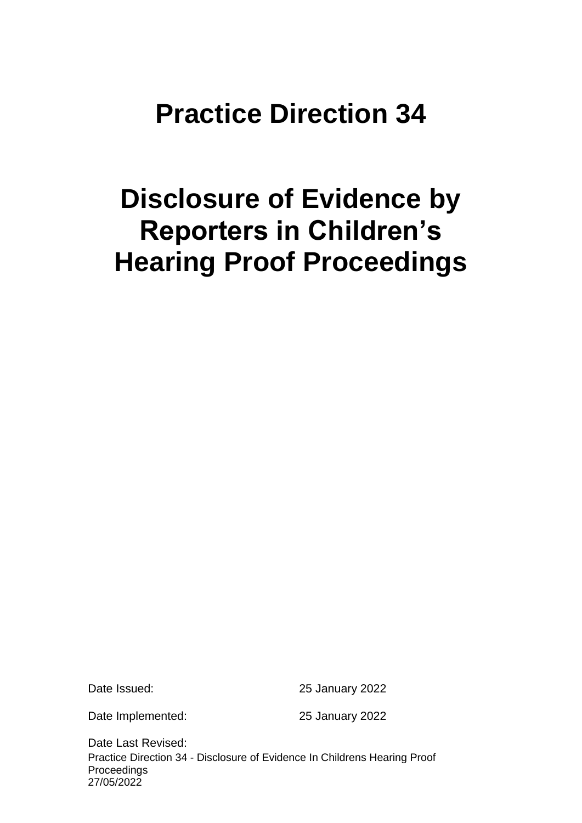# **Practice Direction 34**

# **Disclosure of Evidence by Reporters in Children's Hearing Proof Proceedings**

Date Issued: 25 January 2022

Date Implemented: 25 January 2022

Practice Direction 34 - Disclosure of Evidence In Childrens Hearing Proof Proceedings 27/05/2022 Date Last Revised: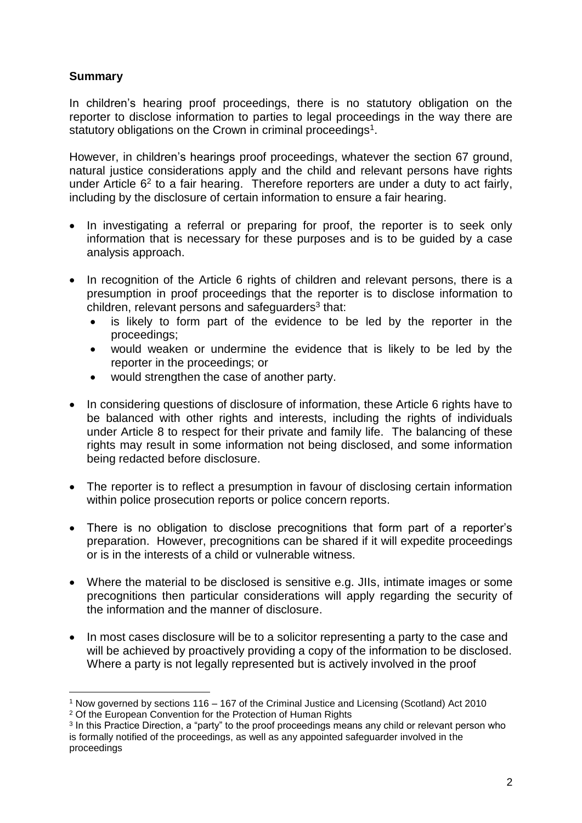# **Summary**

In children's hearing proof proceedings, there is no statutory obligation on the reporter to disclose information to parties to legal proceedings in the way there are statutory obligations on the Crown in criminal proceedings<sup>1</sup>.

However, in children's hearings proof proceedings, whatever the section 67 ground, natural justice considerations apply and the child and relevant persons have rights under Article  $6<sup>2</sup>$  to a fair hearing. Therefore reporters are under a duty to act fairly, including by the disclosure of certain information to ensure a fair hearing.

- In investigating a referral or preparing for proof, the reporter is to seek only information that is necessary for these purposes and is to be guided by a case analysis approach.
- In recognition of the Article 6 rights of children and relevant persons, there is a presumption in proof proceedings that the reporter is to disclose information to children, relevant persons and safeguarders<sup>3</sup> that:
	- is likely to form part of the evidence to be led by the reporter in the proceedings;
	- would weaken or undermine the evidence that is likely to be led by the reporter in the proceedings; or
	- would strengthen the case of another party.
- In considering questions of disclosure of information, these Article 6 rights have to be balanced with other rights and interests, including the rights of individuals under Article 8 to respect for their private and family life. The balancing of these rights may result in some information not being disclosed, and some information being redacted before disclosure.
- The reporter is to reflect a presumption in favour of disclosing certain information within police prosecution reports or police concern reports.
- There is no obligation to disclose precognitions that form part of a reporter's preparation. However, precognitions can be shared if it will expedite proceedings or is in the interests of a child or vulnerable witness.
- Where the material to be disclosed is sensitive e.g. JIIs, intimate images or some precognitions then particular considerations will apply regarding the security of the information and the manner of disclosure.
- In most cases disclosure will be to a solicitor representing a party to the case and will be achieved by proactively providing a copy of the information to be disclosed. Where a party is not legally represented but is actively involved in the proof

 $\overline{a}$ <sup>1</sup> Now governed by sections 116 – 167 of the Criminal Justice and Licensing (Scotland) Act 2010

<sup>&</sup>lt;sup>2</sup> Of the European Convention for the Protection of Human Rights

<sup>&</sup>lt;sup>3</sup> In this Practice Direction, a "party" to the proof proceedings means any child or relevant person who is formally notified of the proceedings, as well as any appointed safeguarder involved in the proceedings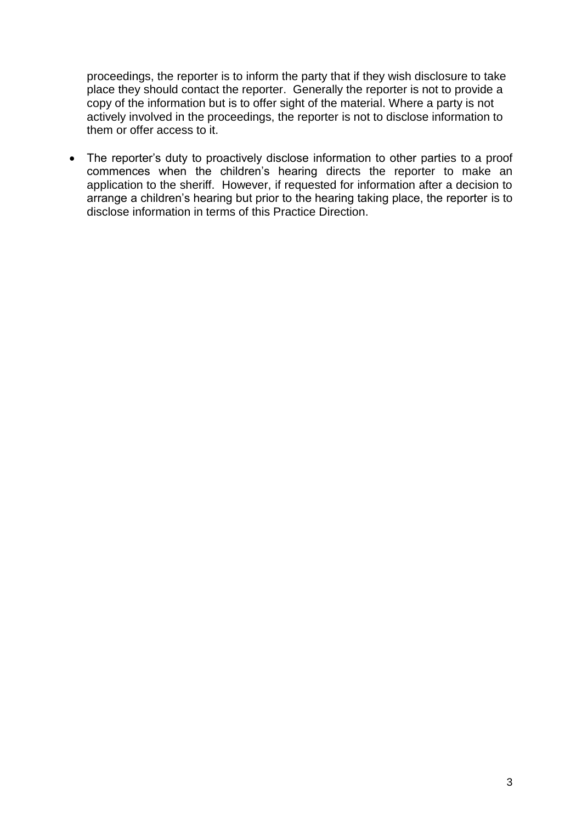proceedings, the reporter is to inform the party that if they wish disclosure to take place they should contact the reporter. Generally the reporter is not to provide a copy of the information but is to offer sight of the material. Where a party is not actively involved in the proceedings, the reporter is not to disclose information to them or offer access to it.

 The reporter's duty to proactively disclose information to other parties to a proof commences when the children's hearing directs the reporter to make an application to the sheriff. However, if requested for information after a decision to arrange a children's hearing but prior to the hearing taking place, the reporter is to disclose information in terms of this Practice Direction.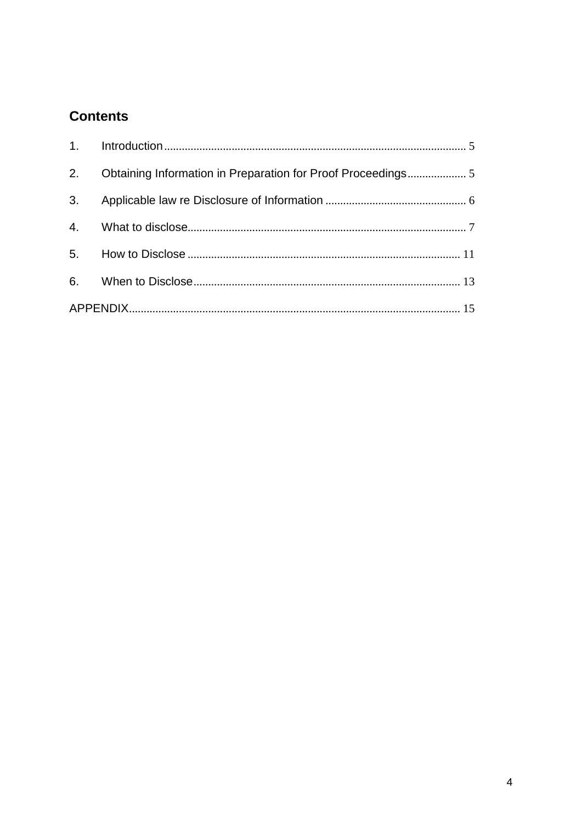# **Contents**

|    | 2. Obtaining Information in Preparation for Proof Proceedings 5 |  |
|----|-----------------------------------------------------------------|--|
| 3. |                                                                 |  |
|    |                                                                 |  |
|    |                                                                 |  |
|    |                                                                 |  |
|    |                                                                 |  |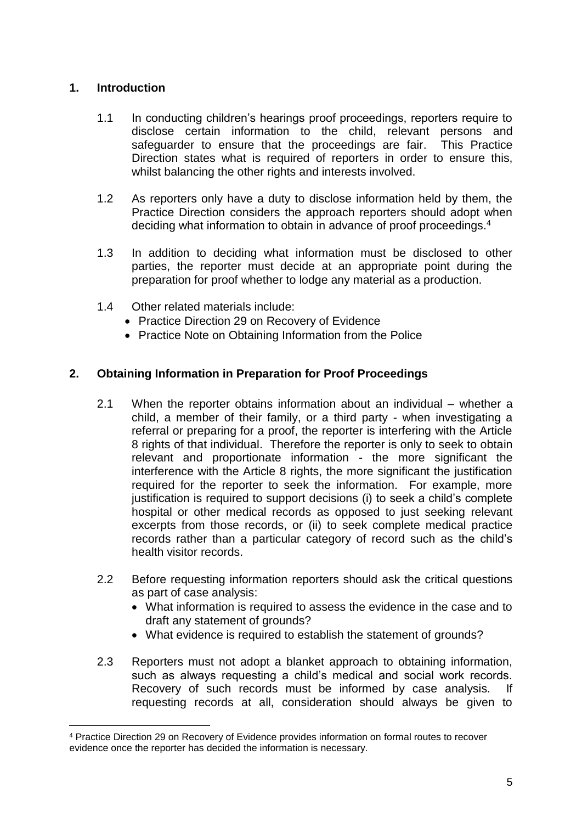# <span id="page-4-0"></span>**1. Introduction**

 $\overline{a}$ 

- 1.1 In conducting children's hearings proof proceedings, reporters require to disclose certain information to the child, relevant persons and safeguarder to ensure that the proceedings are fair. This Practice Direction states what is required of reporters in order to ensure this, whilst balancing the other rights and interests involved.
- 1.2 As reporters only have a duty to disclose information held by them, the Practice Direction considers the approach reporters should adopt when deciding what information to obtain in advance of proof proceedings. 4
- 1.3 In addition to deciding what information must be disclosed to other parties, the reporter must decide at an appropriate point during the preparation for proof whether to lodge any material as a production.
- 1.4 Other related materials include:
	- Practice Direction 29 on Recovery of Evidence
	- Practice Note on Obtaining Information from the Police

# <span id="page-4-1"></span>**2. Obtaining Information in Preparation for Proof Proceedings**

- 2.1 When the reporter obtains information about an individual whether a child, a member of their family, or a third party - when investigating a referral or preparing for a proof, the reporter is interfering with the Article 8 rights of that individual. Therefore the reporter is only to seek to obtain relevant and proportionate information - the more significant the interference with the Article 8 rights, the more significant the justification required for the reporter to seek the information. For example, more justification is required to support decisions (i) to seek a child's complete hospital or other medical records as opposed to just seeking relevant excerpts from those records, or (ii) to seek complete medical practice records rather than a particular category of record such as the child's health visitor records.
- 2.2 Before requesting information reporters should ask the critical questions as part of case analysis:
	- What information is required to assess the evidence in the case and to draft any statement of grounds?
	- What evidence is required to establish the statement of grounds?
- 2.3 Reporters must not adopt a blanket approach to obtaining information, such as always requesting a child's medical and social work records. Recovery of such records must be informed by case analysis. If requesting records at all, consideration should always be given to

<sup>4</sup> Practice Direction 29 on Recovery of Evidence provides information on formal routes to recover evidence once the reporter has decided the information is necessary.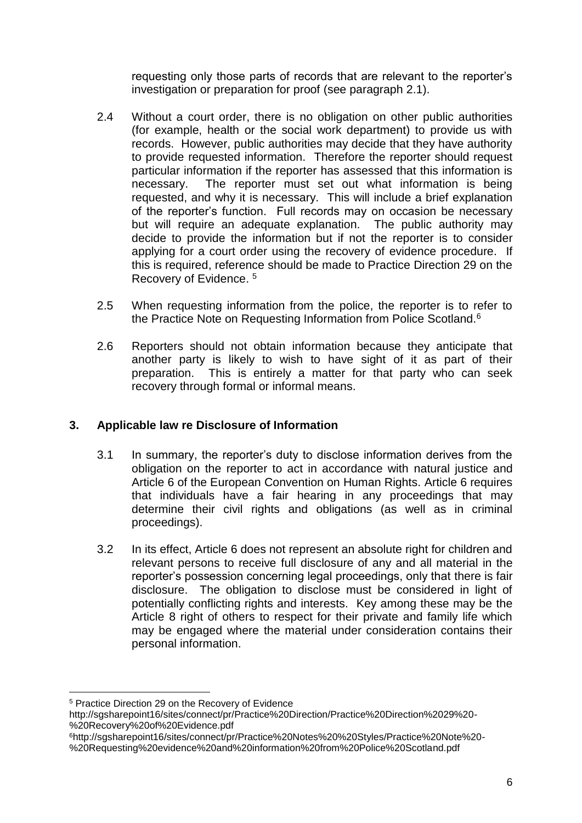requesting only those parts of records that are relevant to the reporter's investigation or preparation for proof (see paragraph 2.1).

- 2.4 Without a court order, there is no obligation on other public authorities (for example, health or the social work department) to provide us with records. However, public authorities may decide that they have authority to provide requested information. Therefore the reporter should request particular information if the reporter has assessed that this information is necessary. The reporter must set out what information is being requested, and why it is necessary. This will include a brief explanation of the reporter's function. Full records may on occasion be necessary but will require an adequate explanation. The public authority may decide to provide the information but if not the reporter is to consider applying for a court order using the recovery of evidence procedure. If this is required, reference should be made to Practice Direction 29 on the Recovery of Evidence. 5
- 2.5 When requesting information from the police, the reporter is to refer to the Practice Note on Requesting Information from Police Scotland.<sup>6</sup>
- 2.6 Reporters should not obtain information because they anticipate that another party is likely to wish to have sight of it as part of their preparation. This is entirely a matter for that party who can seek recovery through formal or informal means.

# <span id="page-5-0"></span>**3. Applicable law re Disclosure of Information**

- 3.1 In summary, the reporter's duty to disclose information derives from the obligation on the reporter to act in accordance with natural justice and Article 6 of the European Convention on Human Rights. Article 6 requires that individuals have a fair hearing in any proceedings that may determine their civil rights and obligations (as well as in criminal proceedings).
- 3.2 In its effect, Article 6 does not represent an absolute right for children and relevant persons to receive full disclosure of any and all material in the reporter's possession concerning legal proceedings, only that there is fair disclosure. The obligation to disclose must be considered in light of potentially conflicting rights and interests. Key among these may be the Article 8 right of others to respect for their private and family life which may be engaged where the material under consideration contains their personal information.

 $\overline{a}$ <sup>5</sup> Practice Direction 29 on the Recovery of Evidence

http://sgsharepoint16/sites/connect/pr/Practice%20Direction/Practice%20Direction%2029%20- %20Recovery%20of%20Evidence.pdf

<sup>6</sup>http://sgsharepoint16/sites/connect/pr/Practice%20Notes%20%20Styles/Practice%20Note%20- %20Requesting%20evidence%20and%20information%20from%20Police%20Scotland.pdf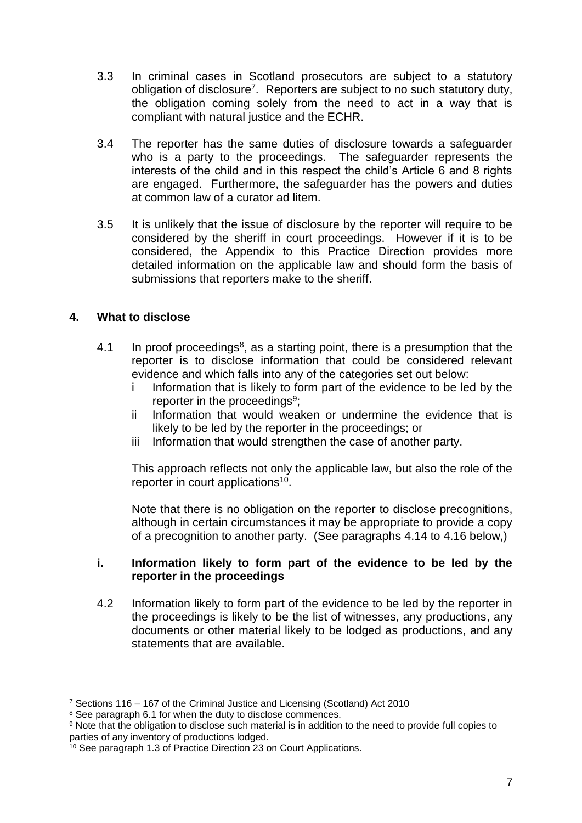- 3.3 In criminal cases in Scotland prosecutors are subject to a statutory obligation of disclosure<sup>7</sup>. Reporters are subject to no such statutory duty, the obligation coming solely from the need to act in a way that is compliant with natural justice and the ECHR.
- 3.4 The reporter has the same duties of disclosure towards a safeguarder who is a party to the proceedings. The safeguarder represents the interests of the child and in this respect the child's Article 6 and 8 rights are engaged. Furthermore, the safeguarder has the powers and duties at common law of a curator ad litem.
- 3.5 It is unlikely that the issue of disclosure by the reporter will require to be considered by the sheriff in court proceedings. However if it is to be considered, the Appendix to this Practice Direction provides more detailed information on the applicable law and should form the basis of submissions that reporters make to the sheriff.

# <span id="page-6-0"></span>**4. What to disclose**

 $\overline{a}$ 

- 4.1 In proof proceedings<sup>8</sup>, as a starting point, there is a presumption that the reporter is to disclose information that could be considered relevant evidence and which falls into any of the categories set out below:
	- i Information that is likely to form part of the evidence to be led by the reporter in the proceedings<sup>9</sup>;
	- ii Information that would weaken or undermine the evidence that is likely to be led by the reporter in the proceedings; or
	- iii Information that would strengthen the case of another party.

This approach reflects not only the applicable law, but also the role of the reporter in court applications<sup>10</sup>.

Note that there is no obligation on the reporter to disclose precognitions, although in certain circumstances it may be appropriate to provide a copy of a precognition to another party. (See paragraphs 4.14 to 4.16 below,)

#### **i. Information likely to form part of the evidence to be led by the reporter in the proceedings**

4.2 Information likely to form part of the evidence to be led by the reporter in the proceedings is likely to be the list of witnesses, any productions, any documents or other material likely to be lodged as productions, and any statements that are available.

<sup>7</sup> Sections 116 – 167 of the Criminal Justice and Licensing (Scotland) Act 2010

<sup>&</sup>lt;sup>8</sup> See paragraph 6.1 for when the duty to disclose commences.

<sup>9</sup> Note that the obligation to disclose such material is in addition to the need to provide full copies to parties of any inventory of productions lodged.

<sup>&</sup>lt;sup>10</sup> See paragraph 1.3 of Practice Direction 23 on Court Applications.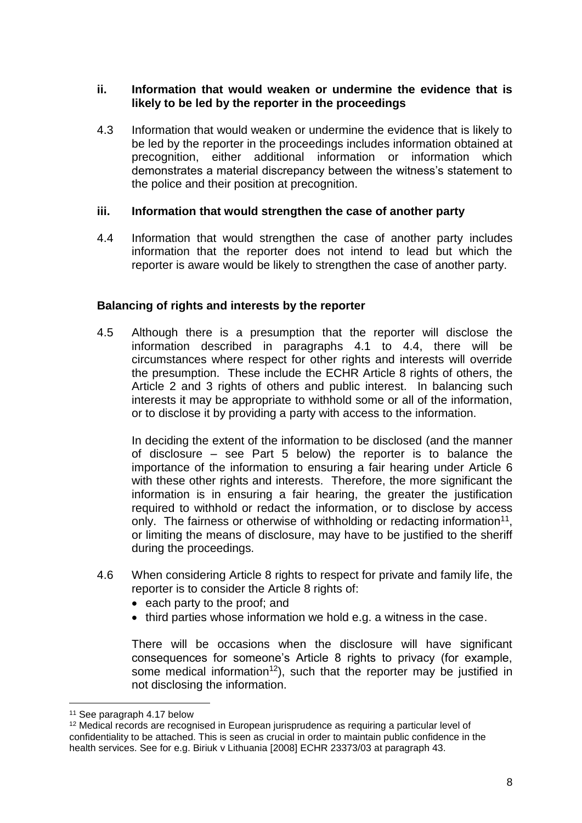#### **ii. Information that would weaken or undermine the evidence that is likely to be led by the reporter in the proceedings**

4.3 Information that would weaken or undermine the evidence that is likely to be led by the reporter in the proceedings includes information obtained at precognition, either additional information or information which demonstrates a material discrepancy between the witness's statement to the police and their position at precognition.

#### **iii. Information that would strengthen the case of another party**

4.4 Information that would strengthen the case of another party includes information that the reporter does not intend to lead but which the reporter is aware would be likely to strengthen the case of another party.

### **Balancing of rights and interests by the reporter**

4.5 Although there is a presumption that the reporter will disclose the information described in paragraphs 4.1 to 4.4, there will be circumstances where respect for other rights and interests will override the presumption. These include the ECHR Article 8 rights of others, the Article 2 and 3 rights of others and public interest. In balancing such interests it may be appropriate to withhold some or all of the information, or to disclose it by providing a party with access to the information.

In deciding the extent of the information to be disclosed (and the manner of disclosure – see Part 5 below) the reporter is to balance the importance of the information to ensuring a fair hearing under Article 6 with these other rights and interests. Therefore, the more significant the information is in ensuring a fair hearing, the greater the justification required to withhold or redact the information, or to disclose by access only. The fairness or otherwise of withholding or redacting information<sup>11</sup>, or limiting the means of disclosure, may have to be justified to the sheriff during the proceedings.

- 4.6 When considering Article 8 rights to respect for private and family life, the reporter is to consider the Article 8 rights of:
	- each party to the proof; and
	- third parties whose information we hold e.g. a witness in the case.

There will be occasions when the disclosure will have significant consequences for someone's Article 8 rights to privacy (for example, some medical information<sup>12</sup>), such that the reporter may be justified in not disclosing the information.

<sup>11</sup> See paragraph 4.17 below

<sup>&</sup>lt;sup>12</sup> Medical records are recognised in European jurisprudence as requiring a particular level of confidentiality to be attached. This is seen as crucial in order to maintain public confidence in the health services. See for e.g. Biriuk v Lithuania [2008] ECHR 23373/03 at paragraph 43.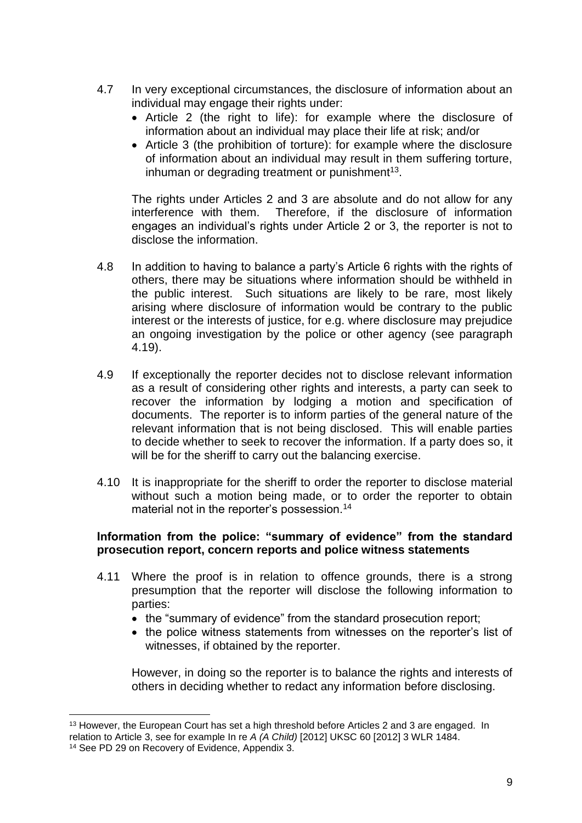- 4.7 In very exceptional circumstances, the disclosure of information about an individual may engage their rights under:
	- Article 2 (the right to life): for example where the disclosure of information about an individual may place their life at risk; and/or
	- $\bullet$  Article 3 (the prohibition of torture): for example where the disclosure of information about an individual may result in them suffering torture, inhuman or degrading treatment or punishment<sup>13</sup>.

The rights under Articles 2 and 3 are absolute and do not allow for any interference with them. Therefore, if the disclosure of information engages an individual's rights under Article 2 or 3, the reporter is not to disclose the information.

- 4.8 In addition to having to balance a party's Article 6 rights with the rights of others, there may be situations where information should be withheld in the public interest. Such situations are likely to be rare, most likely arising where disclosure of information would be contrary to the public interest or the interests of justice, for e.g. where disclosure may prejudice an ongoing investigation by the police or other agency (see paragraph 4.19).
- 4.9 If exceptionally the reporter decides not to disclose relevant information as a result of considering other rights and interests, a party can seek to recover the information by lodging a motion and specification of documents. The reporter is to inform parties of the general nature of the relevant information that is not being disclosed. This will enable parties to decide whether to seek to recover the information. If a party does so, it will be for the sheriff to carry out the balancing exercise.
- 4.10 It is inappropriate for the sheriff to order the reporter to disclose material without such a motion being made, or to order the reporter to obtain material not in the reporter's possession.<sup>14</sup>

#### **Information from the police: "summary of evidence" from the standard prosecution report, concern reports and police witness statements**

- 4.11 Where the proof is in relation to offence grounds, there is a strong presumption that the reporter will disclose the following information to parties:
	- the "summary of evidence" from the standard prosecution report;
	- the police witness statements from witnesses on the reporter's list of witnesses, if obtained by the reporter.

However, in doing so the reporter is to balance the rights and interests of others in deciding whether to redact any information before disclosing.

 $\overline{a}$ <sup>13</sup> However, the European Court has set a high threshold before Articles 2 and 3 are engaged. In relation to Article 3, see for example In re *A (A Child)* [2012] UKSC 60 [2012] 3 WLR 1484.

<sup>&</sup>lt;sup>14</sup> See PD 29 on Recovery of Evidence, Appendix 3.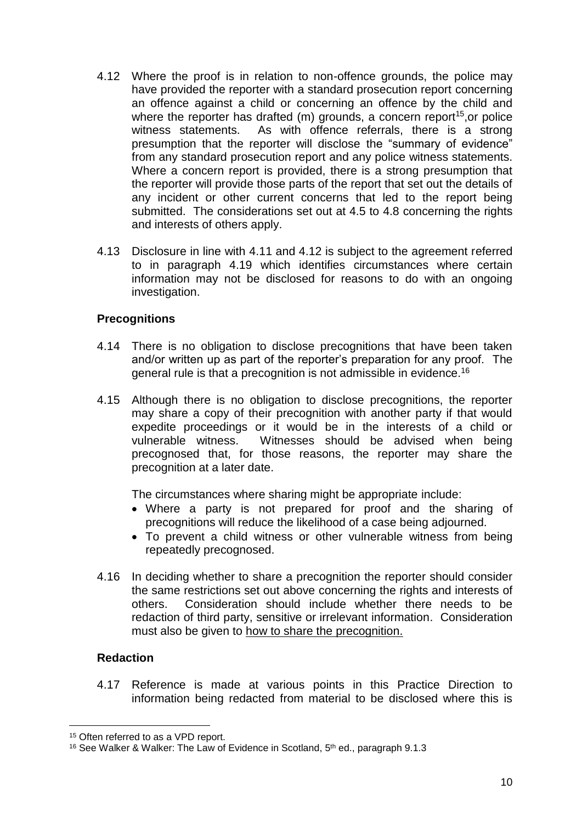- 4.12 Where the proof is in relation to non-offence grounds, the police may have provided the reporter with a standard prosecution report concerning an offence against a child or concerning an offence by the child and where the reporter has drafted  $(m)$  grounds, a concern report<sup>15</sup>, or police witness statements. As with offence referrals, there is a strong presumption that the reporter will disclose the "summary of evidence" from any standard prosecution report and any police witness statements. Where a concern report is provided, there is a strong presumption that the reporter will provide those parts of the report that set out the details of any incident or other current concerns that led to the report being submitted. The considerations set out at 4.5 to 4.8 concerning the rights and interests of others apply.
- 4.13 Disclosure in line with 4.11 and 4.12 is subject to the agreement referred to in paragraph 4.19 which identifies circumstances where certain information may not be disclosed for reasons to do with an ongoing investigation.

### **Precognitions**

- 4.14 There is no obligation to disclose precognitions that have been taken and/or written up as part of the reporter's preparation for any proof. The general rule is that a precognition is not admissible in evidence.<sup>16</sup>
- 4.15 Although there is no obligation to disclose precognitions, the reporter may share a copy of their precognition with another party if that would expedite proceedings or it would be in the interests of a child or vulnerable witness. Witnesses should be advised when being precognosed that, for those reasons, the reporter may share the precognition at a later date.

The circumstances where sharing might be appropriate include:

- Where a party is not prepared for proof and the sharing of precognitions will reduce the likelihood of a case being adjourned.
- To prevent a child witness or other vulnerable witness from being repeatedly precognosed.
- 4.16 In deciding whether to share a precognition the reporter should consider the same restrictions set out above concerning the rights and interests of others. Consideration should include whether there needs to be redaction of third party, sensitive or irrelevant information. Consideration must also be given to how to share the precognition.

#### **Redaction**

 $\overline{a}$ 

4.17 Reference is made at various points in this Practice Direction to information being redacted from material to be disclosed where this is

<sup>&</sup>lt;sup>15</sup> Often referred to as a VPD report.

<sup>&</sup>lt;sup>16</sup> See Walker & Walker: The Law of Evidence in Scotland, 5<sup>th</sup> ed., paragraph 9.1.3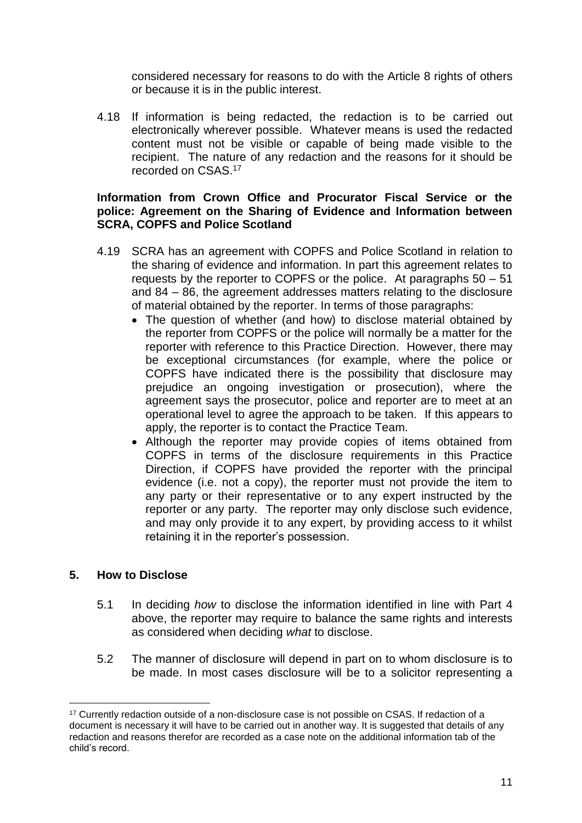considered necessary for reasons to do with the Article 8 rights of others or because it is in the public interest.

4.18 If information is being redacted, the redaction is to be carried out electronically wherever possible. Whatever means is used the redacted content must not be visible or capable of being made visible to the recipient. The nature of any redaction and the reasons for it should be recorded on CSAS. 17

#### **Information from Crown Office and Procurator Fiscal Service or the police: Agreement on the Sharing of Evidence and Information between SCRA, COPFS and Police Scotland**

- 4.19 SCRA has an agreement with COPFS and Police Scotland in relation to the sharing of evidence and information. In part this agreement relates to requests by the reporter to COPFS or the police. At paragraphs 50 – 51 and 84 – 86, the agreement addresses matters relating to the disclosure of material obtained by the reporter. In terms of those paragraphs:
	- The question of whether (and how) to disclose material obtained by the reporter from COPFS or the police will normally be a matter for the reporter with reference to this Practice Direction. However, there may be exceptional circumstances (for example, where the police or COPFS have indicated there is the possibility that disclosure may prejudice an ongoing investigation or prosecution), where the agreement says the prosecutor, police and reporter are to meet at an operational level to agree the approach to be taken. If this appears to apply, the reporter is to contact the Practice Team.
	- Although the reporter may provide copies of items obtained from COPFS in terms of the disclosure requirements in this Practice Direction, if COPFS have provided the reporter with the principal evidence (i.e. not a copy), the reporter must not provide the item to any party or their representative or to any expert instructed by the reporter or any party. The reporter may only disclose such evidence, and may only provide it to any expert, by providing access to it whilst retaining it in the reporter's possession.

#### <span id="page-10-0"></span>**5. How to Disclose**

- 5.1 In deciding *how* to disclose the information identified in line with Part 4 above, the reporter may require to balance the same rights and interests as considered when deciding *what* to disclose.
- 5.2 The manner of disclosure will depend in part on to whom disclosure is to be made. In most cases disclosure will be to a solicitor representing a

<sup>&</sup>lt;sup>17</sup> Currently redaction outside of a non-disclosure case is not possible on CSAS. If redaction of a document is necessary it will have to be carried out in another way. It is suggested that details of any redaction and reasons therefor are recorded as a case note on the additional information tab of the child's record.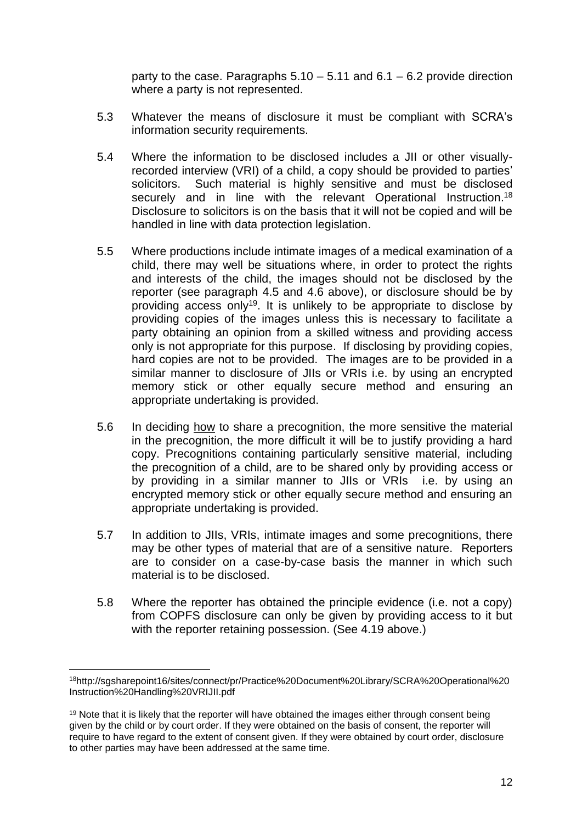party to the case. Paragraphs  $5.10 - 5.11$  and  $6.1 - 6.2$  provide direction where a party is not represented.

- 5.3 Whatever the means of disclosure it must be compliant with SCRA's information security requirements.
- 5.4 Where the information to be disclosed includes a JII or other visuallyrecorded interview (VRI) of a child, a copy should be provided to parties' solicitors. Such material is highly sensitive and must be disclosed securely and in line with the relevant Operational Instruction.<sup>18</sup> Disclosure to solicitors is on the basis that it will not be copied and will be handled in line with data protection legislation.
- 5.5 Where productions include intimate images of a medical examination of a child, there may well be situations where, in order to protect the rights and interests of the child, the images should not be disclosed by the reporter (see paragraph 4.5 and 4.6 above), or disclosure should be by providing access only<sup>19</sup>. It is unlikely to be appropriate to disclose by providing copies of the images unless this is necessary to facilitate a party obtaining an opinion from a skilled witness and providing access only is not appropriate for this purpose. If disclosing by providing copies, hard copies are not to be provided. The images are to be provided in a similar manner to disclosure of JIIs or VRIs i.e. by using an encrypted memory stick or other equally secure method and ensuring an appropriate undertaking is provided.
- 5.6 In deciding how to share a precognition, the more sensitive the material in the precognition, the more difficult it will be to justify providing a hard copy. Precognitions containing particularly sensitive material, including the precognition of a child, are to be shared only by providing access or by providing in a similar manner to JIIs or VRIs i.e. by using an encrypted memory stick or other equally secure method and ensuring an appropriate undertaking is provided.
- 5.7 In addition to JIIs, VRIs, intimate images and some precognitions, there may be other types of material that are of a sensitive nature. Reporters are to consider on a case-by-case basis the manner in which such material is to be disclosed.
- 5.8 Where the reporter has obtained the principle evidence (i.e. not a copy) from COPFS disclosure can only be given by providing access to it but with the reporter retaining possession. (See 4.19 above.)

<sup>18</sup>http://sgsharepoint16/sites/connect/pr/Practice%20Document%20Library/SCRA%20Operational%20 Instruction%20Handling%20VRIJII.pdf

<sup>&</sup>lt;sup>19</sup> Note that it is likely that the reporter will have obtained the images either through consent being given by the child or by court order. If they were obtained on the basis of consent, the reporter will require to have regard to the extent of consent given. If they were obtained by court order, disclosure to other parties may have been addressed at the same time.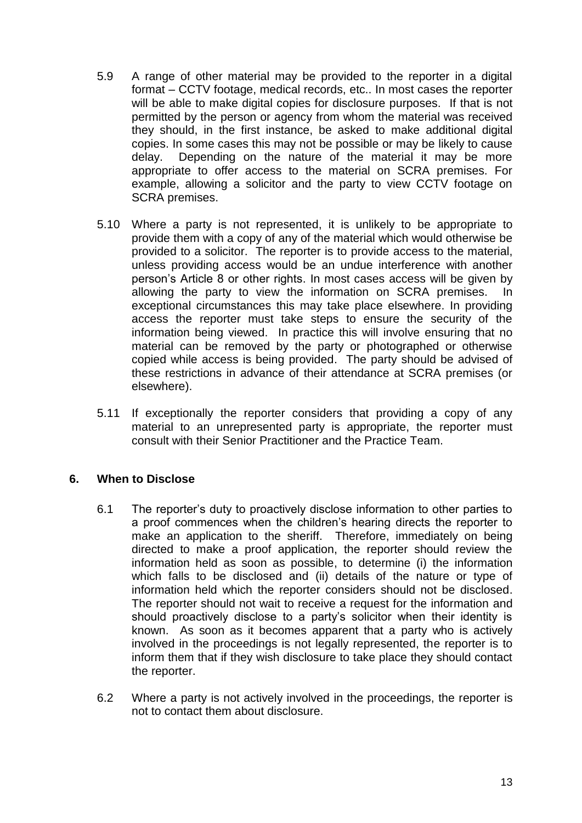- 5.9 A range of other material may be provided to the reporter in a digital format – CCTV footage, medical records, etc.. In most cases the reporter will be able to make digital copies for disclosure purposes. If that is not permitted by the person or agency from whom the material was received they should, in the first instance, be asked to make additional digital copies. In some cases this may not be possible or may be likely to cause delay. Depending on the nature of the material it may be more appropriate to offer access to the material on SCRA premises. For example, allowing a solicitor and the party to view CCTV footage on SCRA premises.
- 5.10 Where a party is not represented, it is unlikely to be appropriate to provide them with a copy of any of the material which would otherwise be provided to a solicitor. The reporter is to provide access to the material, unless providing access would be an undue interference with another person's Article 8 or other rights. In most cases access will be given by allowing the party to view the information on SCRA premises. In exceptional circumstances this may take place elsewhere. In providing access the reporter must take steps to ensure the security of the information being viewed. In practice this will involve ensuring that no material can be removed by the party or photographed or otherwise copied while access is being provided. The party should be advised of these restrictions in advance of their attendance at SCRA premises (or elsewhere).
- 5.11 If exceptionally the reporter considers that providing a copy of any material to an unrepresented party is appropriate, the reporter must consult with their Senior Practitioner and the Practice Team.

# <span id="page-12-0"></span>**6. When to Disclose**

- 6.1 The reporter's duty to proactively disclose information to other parties to a proof commences when the children's hearing directs the reporter to make an application to the sheriff. Therefore, immediately on being directed to make a proof application, the reporter should review the information held as soon as possible, to determine (i) the information which falls to be disclosed and (ii) details of the nature or type of information held which the reporter considers should not be disclosed. The reporter should not wait to receive a request for the information and should proactively disclose to a party's solicitor when their identity is known. As soon as it becomes apparent that a party who is actively involved in the proceedings is not legally represented, the reporter is to inform them that if they wish disclosure to take place they should contact the reporter.
- 6.2 Where a party is not actively involved in the proceedings, the reporter is not to contact them about disclosure.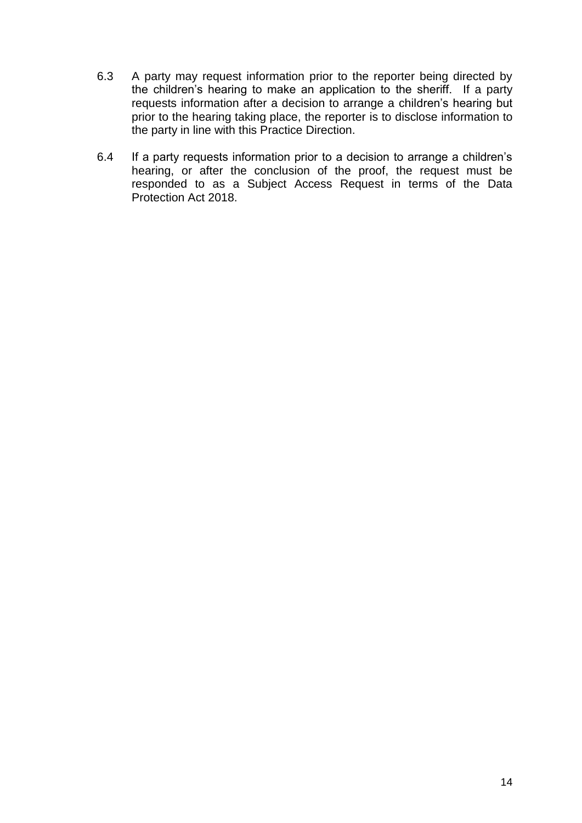- 6.3 A party may request information prior to the reporter being directed by the children's hearing to make an application to the sheriff. If a party requests information after a decision to arrange a children's hearing but prior to the hearing taking place, the reporter is to disclose information to the party in line with this Practice Direction.
- 6.4 If a party requests information prior to a decision to arrange a children's hearing, or after the conclusion of the proof, the request must be responded to as a Subject Access Request in terms of the Data Protection Act 2018.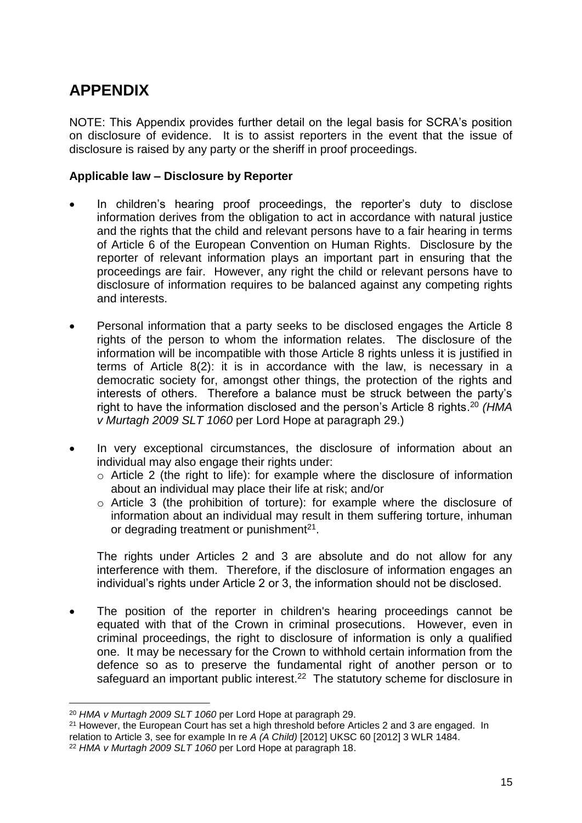# <span id="page-14-0"></span>**APPENDIX**

NOTE: This Appendix provides further detail on the legal basis for SCRA's position on disclosure of evidence. It is to assist reporters in the event that the issue of disclosure is raised by any party or the sheriff in proof proceedings.

## **Applicable law – Disclosure by Reporter**

- In children's hearing proof proceedings, the reporter's duty to disclose information derives from the obligation to act in accordance with natural justice and the rights that the child and relevant persons have to a fair hearing in terms of Article 6 of the European Convention on Human Rights. Disclosure by the reporter of relevant information plays an important part in ensuring that the proceedings are fair. However, any right the child or relevant persons have to disclosure of information requires to be balanced against any competing rights and interests.
- Personal information that a party seeks to be disclosed engages the Article 8 rights of the person to whom the information relates. The disclosure of the information will be incompatible with those Article 8 rights unless it is justified in terms of Article 8(2): it is in accordance with the law, is necessary in a democratic society for, amongst other things, the protection of the rights and interests of others. Therefore a balance must be struck between the party's right to have the information disclosed and the person's Article 8 rights. <sup>20</sup> *(HMA v Murtagh 2009 SLT 1060* per Lord Hope at paragraph 29.)
- In very exceptional circumstances, the disclosure of information about an individual may also engage their rights under:
	- o Article 2 (the right to life): for example where the disclosure of information about an individual may place their life at risk; and/or
	- o Article 3 (the prohibition of torture): for example where the disclosure of information about an individual may result in them suffering torture, inhuman or degrading treatment or punishment $2<sup>1</sup>$ .

The rights under Articles 2 and 3 are absolute and do not allow for any interference with them. Therefore, if the disclosure of information engages an individual's rights under Article 2 or 3, the information should not be disclosed.

• The position of the reporter in children's hearing proceedings cannot be equated with that of the Crown in criminal prosecutions. However, even in criminal proceedings, the right to disclosure of information is only a qualified one. It may be necessary for the Crown to withhold certain information from the defence so as to preserve the fundamental right of another person or to safeguard an important public interest.<sup>22</sup> The statutory scheme for disclosure in

<sup>20</sup> *HMA v Murtagh 2009 SLT 1060* per Lord Hope at paragraph 29.

<sup>&</sup>lt;sup>21</sup> However, the European Court has set a high threshold before Articles 2 and 3 are engaged. In relation to Article 3, see for example In re *A (A Child)* [2012] UKSC 60 [2012] 3 WLR 1484.

<sup>22</sup> *HMA v Murtagh 2009 SLT 1060* per Lord Hope at paragraph 18.